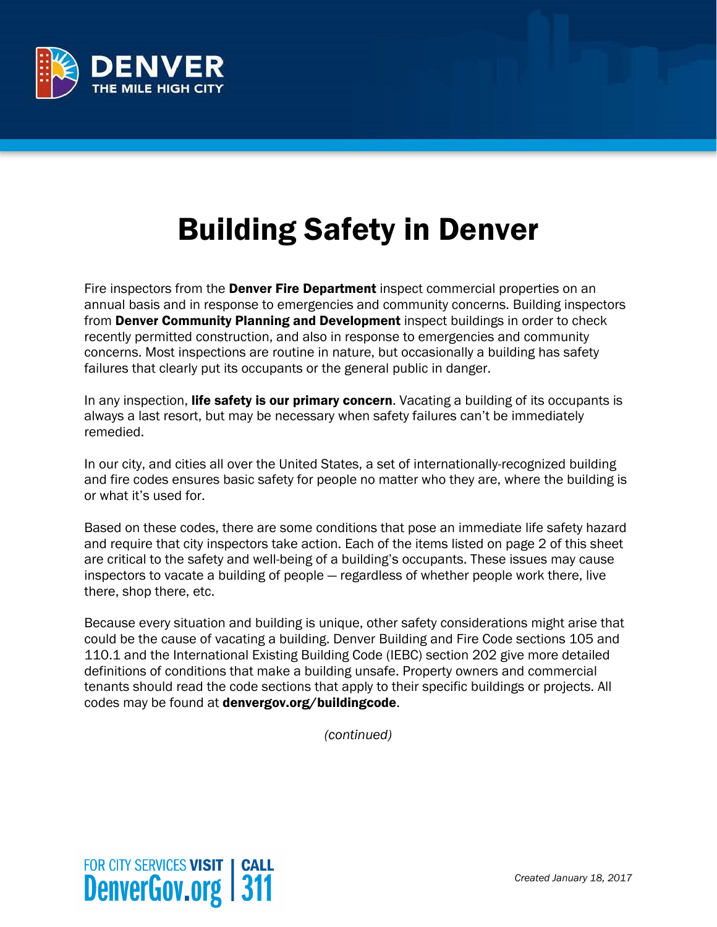

## Building Safety in Denver

Fire inspectors from the **Denver Fire Department** inspect commercial properties on an annual basis and in response to emergencies and community concerns. Building inspectors from Denver Community Planning and Development inspect buildings in order to check recently permitted construction, and also in response to emergencies and community concerns. Most inspections are routine in nature, but occasionally a building has safety failures that clearly put its occupants or the general public in danger.

In any inspection, **life safety is our primary concern**. Vacating a building of its occupants is always a last resort, but may be necessary when safety failures can't be immediately remedied.

In our city, and cities all over the United States, a set of internationally-recognized building and fire codes ensures basic safety for people no matter who they are, where the building is or what it's used for.

Based on these codes, there are some conditions that pose an immediate life safety hazard and require that city inspectors take action. Each of the items listed on page 2 of this sheet are critical to the safety and well-being of a building's occupants. These issues may cause inspectors to vacate a building of people — regardless of whether people work there, live there, shop there, etc.

Because every situation and building is unique, other safety considerations might arise that could be the cause of vacating a building. Denver Building and Fire Code sections 105 and 110.1 and the International Existing Building Code (IEBC) section 202 give more detailed definitions of conditions that make a building unsafe. Property owners and commercial tenants should read the code sections that apply to their specific buildings or projects. All codes may be found at denvergov.org/buildingcode.

*(continued)*